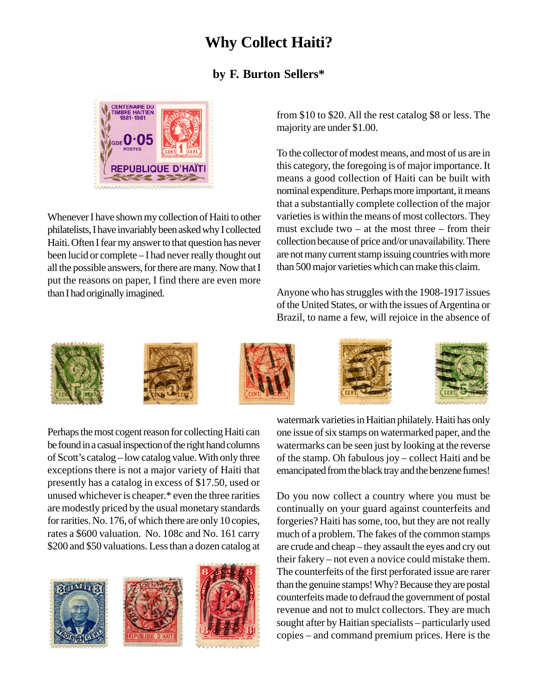## **Why Collect Haiti?**

## **by F. Burton Sellers\***



Whenever I have shown my collection of Haiti to other philatelists, I have invariably been asked why I collected Haiti. Often I fear my answer to that question has never been lucid or complete – I had never really thought out all the possible answers, for there are many. Now that I put the reasons on paper, I find there are even more than I had originally imagined.

from \$10 to \$20. All the rest catalog \$8 or less. The majority are under \$1.00.

To the collector of modest means, and most of us are in this category, the foregoing is of major importance. It means a good collection of Haiti can be built with nominal expenditure. Perhaps more important, it means that a substantially complete collection of the major varieties is within the means of most collectors. They must exclude two  $-$  at the most three  $-$  from their collection because of price and/or unavailability. There are not many current stamp issuing countries with more than 500 major varieties which can make this claim.

Anyone who has struggles with the 1908-1917 issues of the United States, or with the issues of Argentina or Brazil, to name a few, will rejoice in the absence of











Perhaps the most cogent reason for collecting Haiti can be found in a casual inspection of the right hand columns of Scott's catalog – low catalog value. With only three exceptions there is not a major variety of Haiti that presently has a catalog in excess of \$17.50, used or unused whichever is cheaper.\* even the three rarities are modestly priced by the usual monetary standards for rarities. No. 176, of which there are only 10 copies, rates a \$600 valuation. No. 108c and No. 161 carry \$200 and \$50 valuations. Less than a dozen catalog at







watermark varieties in Haitian philately. Haiti has only one issue of six stamps on watermarked paper, and the watermarks can be seen just by looking at the reverse of the stamp. Oh fabulous joy – collect Haiti and be emancipated from the black tray and the benzene fumes!

Do you now collect a country where you must be continually on your guard against counterfeits and forgeries? Haiti has some, too, but they are not really much of a problem. The fakes of the common stamps are crude and cheap – they assault the eyes and cry out their fakery – not even a novice could mistake them. The counterfeits of the first perforated issue are rarer than the genuine stamps! Why? Because they are postal counterfeits made to defraud the government of postal revenue and not to mulct collectors. They are much sought after by Haitian specialists – particularly used copies – and command premium prices. Here is the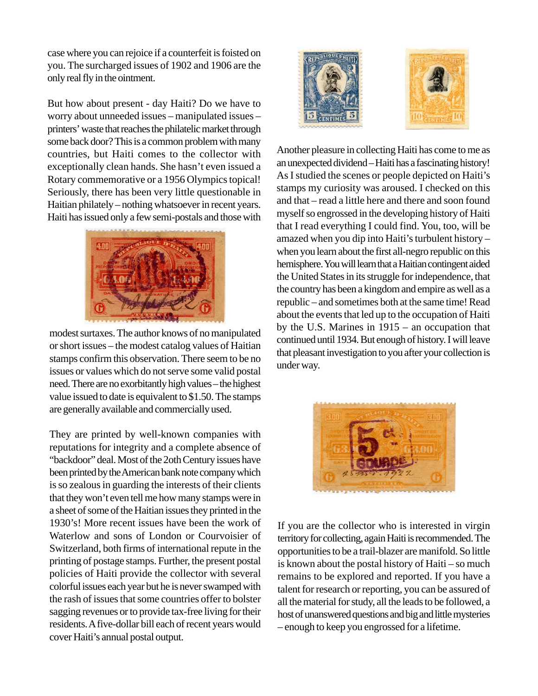case where you can rejoice if a counterfeit is foisted on you. The surcharged issues of 1902 and 1906 are the only real fly in the ointment.

But how about present - day Haiti? Do we have to worry about unneeded issues – manipulated issues – printers' waste that reaches the philatelic market through some back door? This is a common problem with many countries, but Haiti comes to the collector with exceptionally clean hands. She hasn't even issued a Rotary commemorative or a 1956 Olympics topical! Seriously, there has been very little questionable in Haitian philately – nothing whatsoever in recent years. Haiti has issued only a few semi-postals and those with



modest surtaxes. The author knows of no manipulated or short issues – the modest catalog values of Haitian stamps confirm this observation. There seem to be no issues or values which do not serve some valid postal need. There are no exorbitantly high values – the highest value issued to date is equivalent to \$1.50. The stamps are generally available and commercially used.

They are printed by well-known companies with reputations for integrity and a complete absence of "backdoor" deal. Most of the 2oth Century issues have been printed by the American bank note company which is so zealous in guarding the interests of their clients that they won't even tell me how many stamps were in a sheet of some of the Haitian issues they printed in the 1930's! More recent issues have been the work of Waterlow and sons of London or Courvoisier of Switzerland, both firms of international repute in the printing of postage stamps. Further, the present postal policies of Haiti provide the collector with several colorful issues each year but he is never swamped with the rash of issues that some countries offer to bolster sagging revenues or to provide tax-free living for their residents. A five-dollar bill each of recent years would cover Haiti's annual postal output.



Another pleasure in collecting Haiti has come to me as an unexpected dividend – Haiti has a fascinating history! As I studied the scenes or people depicted on Haiti's stamps my curiosity was aroused. I checked on this and that – read a little here and there and soon found myself so engrossed in the developing history of Haiti that I read everything I could find. You, too, will be amazed when you dip into Haiti's turbulent history – when you learn about the first all-negro republic on this hemisphere. You will learn that a Haitian contingent aided the United States in its struggle for independence, that the country has been a kingdom and empire as well as a republic – and sometimes both at the same time! Read about the events that led up to the occupation of Haiti by the U.S. Marines in 1915 – an occupation that continued until 1934. But enough of history. I will leave that pleasant investigation to you after your collection is under way.



If you are the collector who is interested in virgin territory for collecting, again Haiti is recommended. The opportunities to be a trail-blazer are manifold. So little is known about the postal history of Haiti – so much remains to be explored and reported. If you have a talent for research or reporting, you can be assured of all the material for study, all the leads to be followed, a host of unanswered questions and big and little mysteries – enough to keep you engrossed for a lifetime.